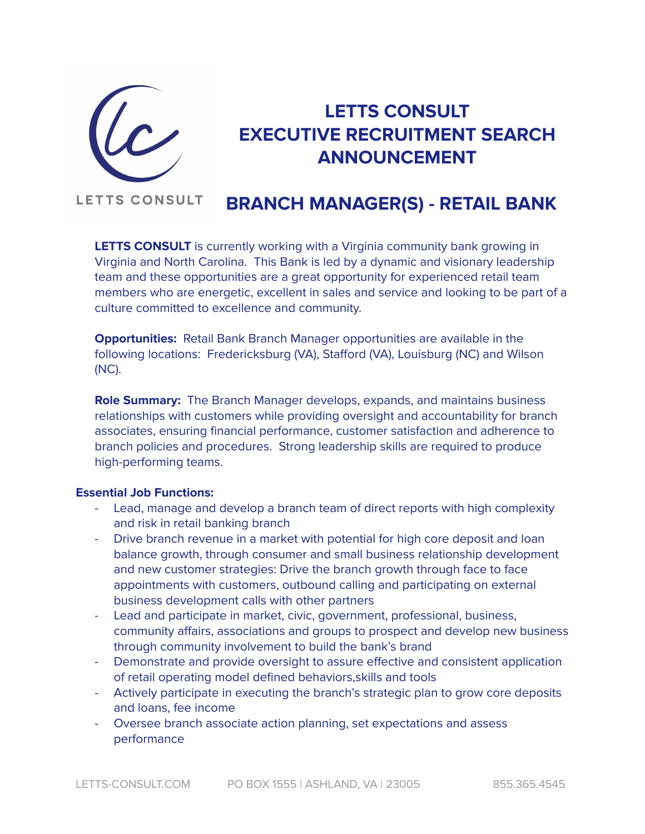

# **LETTS CONSULT EXECUTIVE RECRUITMENT SEARCH ANNOUNCEMENT**

#### **LETTS CONSULT BRANCH MANAGER(S) - RETAIL BANK**

**LETTS CONSULT** is currently working with a Virginia community bank growing in Virginia and North Carolina. This Bank is led by a dynamic and visionary leadership team and these opportunities are a great opportunity for experienced retail team members who are energetic, excellent in sales and service and looking to be part of a culture committed to excellence and community.

**Opportunities:** Retail Bank Branch Manager opportunities are available in the following locations: Fredericksburg (VA), Stafford (VA), Louisburg (NC) and Wilson (NC).

**Role Summary:** The Branch Manager develops, expands, and maintains business relationships with customers while providing oversight and accountability for branch associates, ensuring financial performance, customer satisfaction and adherence to branch policies and procedures. Strong leadership skills are required to produce high-performing teams.

### **Essential Job Functions:**

- Lead, manage and develop a branch team of direct reports with high complexity and risk in retail banking branch
- Drive branch revenue in a market with potential for high core deposit and loan balance growth, through consumer and small business relationship development and new customer strategies: Drive the branch growth through face to face appointments with customers, outbound calling and participating on external business development calls with other partners
- Lead and participate in market, civic, government, professional, business, community affairs, associations and groups to prospect and develop new business through community involvement to build the bank's brand
- Demonstrate and provide oversight to assure effective and consistent application of retail operating model defined behaviors,skills and tools
- Actively participate in executing the branch's strategic plan to grow core deposits and loans, fee income
- Oversee branch associate action planning, set expectations and assess performance